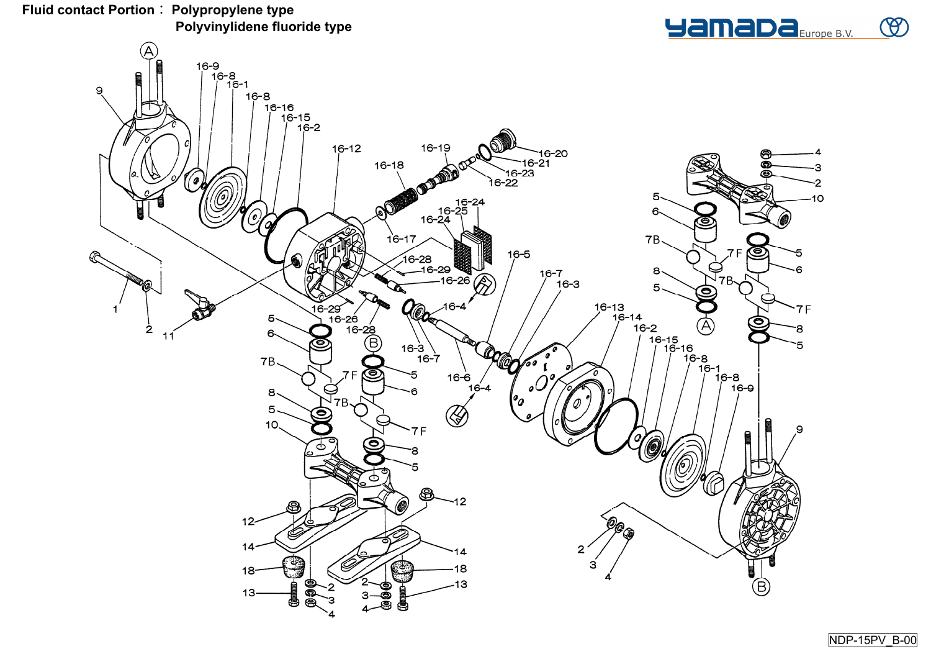

9





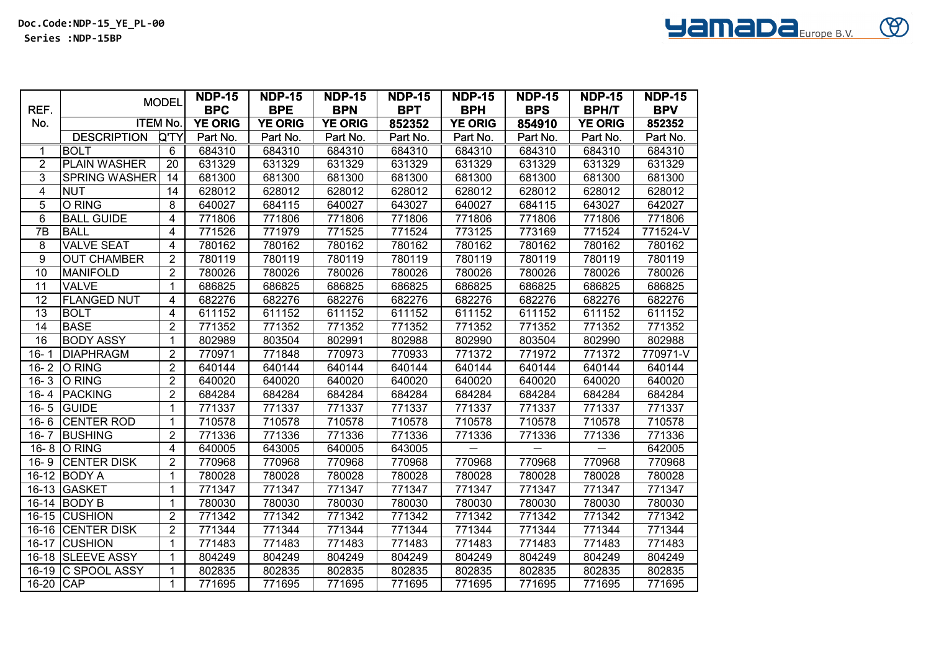|                |                      | <b>MODEL</b>   | <b>NDP-15</b>  | <b>NDP-15</b>  | <b>NDP-15</b>  | <b>NDP-15</b> | <b>NDP-15</b>  | <b>NDP-15</b> | <b>NDP-15</b>  | <b>NDP-15</b> |
|----------------|----------------------|----------------|----------------|----------------|----------------|---------------|----------------|---------------|----------------|---------------|
| REF.           |                      |                | <b>BPC</b>     | <b>BPE</b>     | <b>BPN</b>     | <b>BPT</b>    | <b>BPH</b>     | <b>BPS</b>    | <b>BPH/T</b>   | <b>BPV</b>    |
| No.            | <b>ITEM No.</b>      |                | <b>YE ORIG</b> | <b>YE ORIG</b> | <b>YE ORIG</b> | 852352        | <b>YE ORIG</b> | 854910        | <b>YE ORIG</b> | 852352        |
|                | <b>DESCRIPTION</b>   | <b>Q'TY</b>    | Part No.       | Part No.       | Part No.       | Part No.      | Part No.       | Part No.      | Part No.       | Part No.      |
| 1              | <b>BOLT</b>          | 6              | 684310         | 684310         | 684310         | 684310        | 684310         | 684310        | 684310         | 684310        |
| $\overline{2}$ | <b>PLAIN WASHER</b>  | 20             | 631329         | 631329         | 631329         | 631329        | 631329         | 631329        | 631329         | 631329        |
| 3              | <b>SPRING WASHER</b> | 14             | 681300         | 681300         | 681300         | 681300        | 681300         | 681300        | 681300         | 681300        |
| 4              | <b>NUT</b>           | 14             | 628012         | 628012         | 628012         | 628012        | 628012         | 628012        | 628012         | 628012        |
| 5              | <b>O RING</b>        | 8              | 640027         | 684115         | 640027         | 643027        | 640027         | 684115        | 643027         | 642027        |
| 6              | <b>BALL GUIDE</b>    | 4              | 771806         | 771806         | 771806         | 771806        | 771806         | 771806        | 771806         | 771806        |
| 7B             | <b>BALL</b>          | 4              | 771526         | 771979         | 771525         | 771524        | 773125         | 773169        | 771524         | 771524-V      |
| 8              | <b>VALVE SEAT</b>    | 4              | 780162         | 780162         | 780162         | 780162        | 780162         | 780162        | 780162         | 780162        |
| 9              | <b>OUT CHAMBER</b>   | $\overline{2}$ | 780119         | 780119         | 780119         | 780119        | 780119         | 780119        | 780119         | 780119        |
| 10             | <b>MANIFOLD</b>      | 2              | 780026         | 780026         | 780026         | 780026        | 780026         | 780026        | 780026         | 780026        |
| 11             | <b>VALVE</b>         | $\mathbf{1}$   | 686825         | 686825         | 686825         | 686825        | 686825         | 686825        | 686825         | 686825        |
| 12             | <b>FLANGED NUT</b>   | 4              | 682276         | 682276         | 682276         | 682276        | 682276         | 682276        | 682276         | 682276        |
| 13             | <b>BOLT</b>          | $\overline{4}$ | 611152         | 611152         | 611152         | 611152        | 611152         | 611152        | 611152         | 611152        |
| 14             | <b>BASE</b>          | $\overline{2}$ | 771352         | 771352         | 771352         | 771352        | 771352         | 771352        | 771352         | 771352        |
| 16             | <b>BODY ASSY</b>     | $\mathbf{1}$   | 802989         | 803504         | 802991         | 802988        | 802990         | 803504        | 802990         | 802988        |
| $16 - 1$       | <b>DIAPHRAGM</b>     | $\overline{2}$ | 770971         | 771848         | 770973         | 770933        | 771372         | 771972        | 771372         | 770971-V      |
| $16 - 2$       | O RING               | $\overline{2}$ | 640144         | 640144         | 640144         | 640144        | 640144         | 640144        | 640144         | 640144        |
| $16 - 3$       | O RING               | $\overline{2}$ | 640020         | 640020         | 640020         | 640020        | 640020         | 640020        | 640020         | 640020        |
| $16 - 4$       | <b>TPACKING</b>      | $\overline{2}$ | 684284         | 684284         | 684284         | 684284        | 684284         | 684284        | 684284         | 684284        |
| $16 - 5$       | <b>GUIDE</b>         | 1              | 771337         | 771337         | 771337         | 771337        | 771337         | 771337        | 771337         | 771337        |
| $16 - 6$       | <b>CENTER ROD</b>    | 1              | 710578         | 710578         | 710578         | 710578        | 710578         | 710578        | 710578         | 710578        |
| $16 - 7$       | <b>BUSHING</b>       | $\overline{2}$ | 771336         | 771336         | 771336         | 771336        | 771336         | 771336        | 771336         | 771336        |
|                | 16-8 O RING          | 4              | 640005         | 643005         | 640005         | 643005        |                |               |                | 642005        |
| $16 - 9$       | <b>CENTER DISK</b>   | $\overline{2}$ | 770968         | 770968         | 770968         | 770968        | 770968         | 770968        | 770968         | 770968        |
| $16 - 12$      | <b>BODY A</b>        | $\mathbf{1}$   | 780028         | 780028         | 780028         | 780028        | 780028         | 780028        | 780028         | 780028        |
| $16 - 13$      | <b>GASKET</b>        | 1              | 771347         | 771347         | 771347         | 771347        | 771347         | 771347        | 771347         | 771347        |
| $16 - 14$      | <b>BODY B</b>        | $\mathbf{1}$   | 780030         | 780030         | 780030         | 780030        | 780030         | 780030        | 780030         | 780030        |
| $16 - 15$      | <b>CUSHION</b>       | $\overline{2}$ | 771342         | 771342         | 771342         | 771342        | 771342         | 771342        | 771342         | 771342        |
| $16 - 16$      | <b>CENTER DISK</b>   | $\overline{2}$ | 771344         | 771344         | 771344         | 771344        | 771344         | 771344        | 771344         | 771344        |
| $16 - 17$      | <b>CUSHION</b>       | 1              | 771483         | 771483         | 771483         | 771483        | 771483         | 771483        | 771483         | 771483        |
| $16 - 18$      | <b>SLEEVE ASSY</b>   | $\mathbf 1$    | 804249         | 804249         | 804249         | 804249        | 804249         | 804249        | 804249         | 804249        |
| $16-19$        | <b>C SPOOL ASSY</b>  | 1              | 802835         | 802835         | 802835         | 802835        | 802835         | 802835        | 802835         | 802835        |
| 16-20 CAP      |                      | $\mathbf 1$    | 771695         | 771695         | 771695         | 771695        | 771695         | 771695        | 771695         | 771695        |